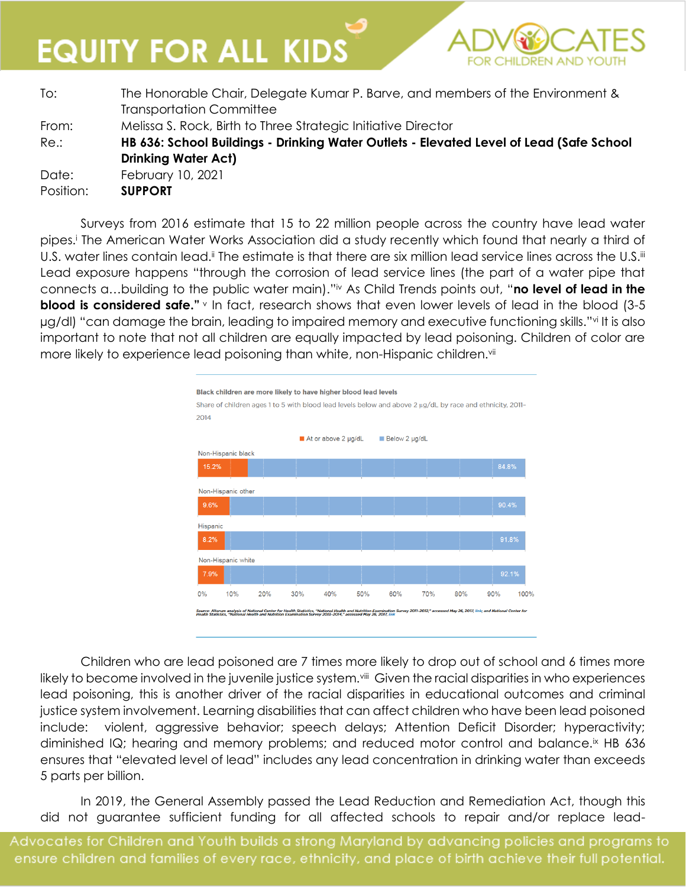**EQUITY FOR ALL KIDS** 

| To:       | The Honorable Chair, Delegate Kumar P. Barve, and members of the Environment &          |
|-----------|-----------------------------------------------------------------------------------------|
|           | <b>Transportation Committee</b>                                                         |
| From:     | Melissa S. Rock, Birth to Three Strategic Initiative Director                           |
| Re.:      | HB 636: School Buildings - Drinking Water Outlets - Elevated Level of Lead (Safe School |
|           | <b>Drinking Water Act)</b>                                                              |
| Date:     | February 10, 2021                                                                       |
| Position: | <b>SUPPORT</b>                                                                          |
|           |                                                                                         |

Surveys from 2016 estimate that 15 to 22 million people across the country have lead water pipes.<sup>i</sup> The American Water Works Association did a study recently which found that nearly a third of U.S. water lines contain lead.<sup>ii</sup> The estimate is that there are six million lead service lines across the U.S.<sup>ii</sup> Lead exposure happens "through the corrosion of lead service lines (the part of a water pipe that connects a...building to the public water main)."<sup>iv</sup> As Child Trends points out, "**no level of lead in the blood is considered safe."**  $\vee$  In fact, research shows that even lower levels of lead in the blood (3-5 µg/dl) "can damage the brain, leading to impaired memory and executive functioning skills."vi It is also important to note that not all children are equally impacted by lead poisoning. Children of color are more likely to experience lead poisoning than white, non-Hispanic children.<sup>vii</sup>



Children who are lead poisoned are 7 times more likely to drop out of school and 6 times more likely to become involved in the juvenile justice system.<sup>viii</sup> Given the racial disparities in who experiences lead poisoning, this is another driver of the racial disparities in educational outcomes and criminal justice system involvement. Learning disabilities that can affect children who have been lead poisoned include: violent, aggressive behavior; speech delays; Attention Deficit Disorder; hyperactivity; diminished IQ; hearing and memory problems; and reduced motor control and balance.<sup>ix</sup> HB 636 ensures that "elevated level of lead" includes any lead concentration in drinking water than exceeds 5 parts per billion.

In 2019, the General Assembly passed the Lead Reduction and Remediation Act, though this did not guarantee sufficient funding for all affected schools to repair and/or replace lead-